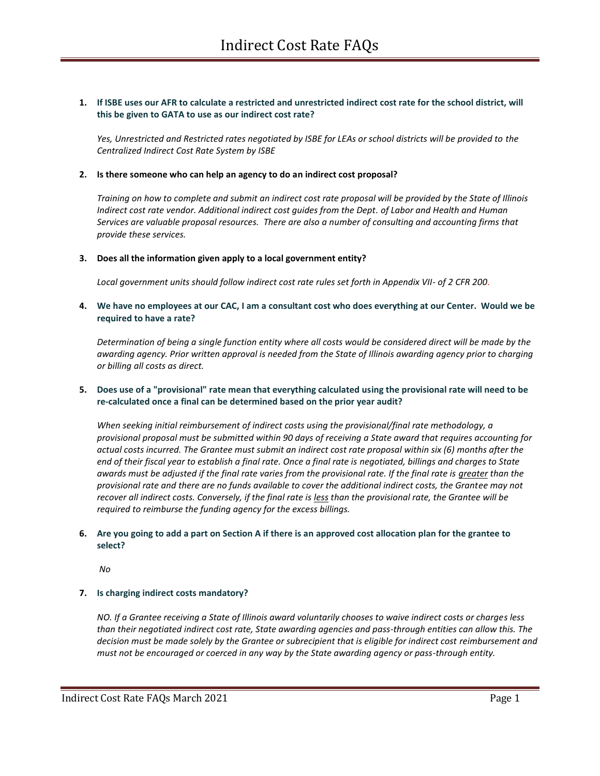# **1. If ISBE uses our AFR to calculate a restricted and unrestricted indirect cost rate for the school district, will this be given to GATA to use as our indirect cost rate?**

*Yes, Unrestricted and Restricted rates negotiated by ISBE for LEAs or school districts will be provided to the Centralized Indirect Cost Rate System by ISBE*

#### **2. Is there someone who can help an agency to do an indirect cost proposal?**

*Training on how to complete and submit an indirect cost rate proposal will be provided by the State of Illinois Indirect cost rate vendor. Additional indirect cost guides from the Dept. of Labor and Health and Human Services are valuable proposal resources. There are also a number of consulting and accounting firms that provide these services.*

#### **3. Does all the information given apply to a local government entity?**

*Local government units should follow indirect cost rate rules set forth in Appendix VII- of 2 CFR 200*.

## **4. We have no employees at our CAC, I am a consultant cost who does everything at our Center. Would we be required to have a rate?**

*Determination of being a single function entity where all costs would be considered direct will be made by the awarding agency. Prior written approval is needed from the State of Illinois awarding agency prior to charging or billing all costs as direct.* 

# **5. Does use of a "provisional" rate mean that everything calculated using the provisional rate will need to be re-calculated once a final can be determined based on the prior year audit?**

*When seeking initial reimbursement of indirect costs using the provisional/final rate methodology, a provisional proposal must be submitted within 90 days of receiving a State award that requires accounting for actual costs incurred. The Grantee must submit an indirect cost rate proposal within six (6) months after the end of their fiscal year to establish a final rate. Once a final rate is negotiated, billings and charges to State awards must be adjusted if the final rate varies from the provisional rate. If the final rate is greater than the provisional rate and there are no funds available to cover the additional indirect costs, the Grantee may not recover all indirect costs. Conversely, if the final rate is less than the provisional rate, the Grantee will be required to reimburse the funding agency for the excess billings.*

## **6. Are you going to add a part on Section A if there is an approved cost allocation plan for the grantee to select?**

*No*

## **7. Is charging indirect costs mandatory?**

*NO. If a Grantee receiving a State of Illinois award voluntarily chooses to waive indirect costs or charges less than their negotiated indirect cost rate, State awarding agencies and pass-through entities can allow this. The decision must be made solely by the Grantee or subrecipient that is eligible for indirect cost reimbursement and must not be encouraged or coerced in any way by the State awarding agency or pass-through entity.*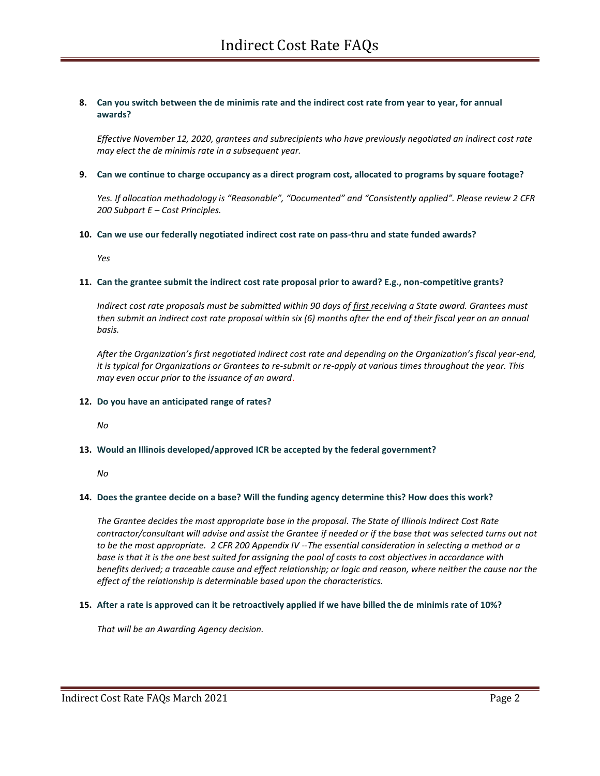## **8. Can you switch between the de minimis rate and the indirect cost rate from year to year, for annual awards?**

*Effective November 12, 2020, grantees and subrecipients who have previously negotiated an indirect cost rate may elect the de minimis rate in a subsequent year.*

#### **9. Can we continue to charge occupancy as a direct program cost, allocated to programs by square footage?**

*Yes. If allocation methodology is "Reasonable", "Documented" and "Consistently applied". Please review 2 CFR 200 Subpart E – Cost Principles.*

#### **10. Can we use our federally negotiated indirect cost rate on pass-thru and state funded awards?**

*Yes*

#### **11. Can the grantee submit the indirect cost rate proposal prior to award? E.g., non-competitive grants?**

*Indirect cost rate proposals must be submitted within 90 days of first receiving a State award. Grantees must then submit an indirect cost rate proposal within six (6) months after the end of their fiscal year on an annual basis.* 

*After the Organization's first negotiated indirect cost rate and depending on the Organization's fiscal year-end, it is typical for Organizations or Grantees to re-submit or re-apply at various times throughout the year. This may even occur prior to the issuance of an award*.

## **12. Do you have an anticipated range of rates?**

*No*

## **13. Would an Illinois developed/approved ICR be accepted by the federal government?**

*No*

## **14. Does the grantee decide on a base? Will the funding agency determine this? How does this work?**

*The Grantee decides the most appropriate base in the proposal. The State of Illinois Indirect Cost Rate contractor/consultant will advise and assist the Grantee if needed or if the base that was selected turns out not to be the most appropriate. 2 CFR 200 Appendix IV --The essential consideration in selecting a method or a base is that it is the one best suited for assigning the pool of costs to cost objectives in accordance with benefits derived; a traceable cause and effect relationship; or logic and reason, where neither the cause nor the effect of the relationship is determinable based upon the characteristics.* 

## **15. After a rate is approved can it be retroactively applied if we have billed the de minimis rate of 10%?**

*That will be an Awarding Agency decision.*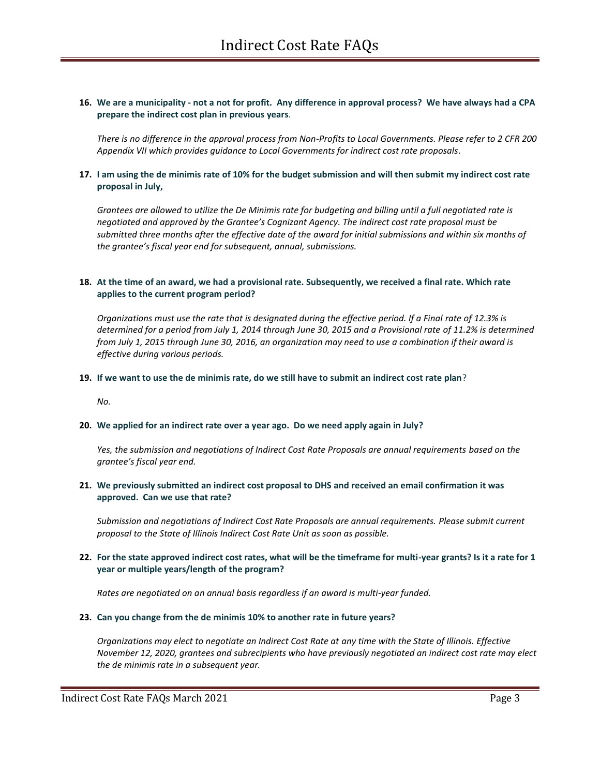## **16. We are a municipality - not a not for profit. Any difference in approval process? We have always had a CPA prepare the indirect cost plan in previous years**.

*There is no difference in the approval process from Non-Profits to Local Governments. Please refer to 2 CFR 200 Appendix VII which provides guidance to Local Governments for indirect cost rate proposals.*

## **17. I am using the de minimis rate of 10% for the budget submission and will then submit my indirect cost rate proposal in July,**

*Grantees are allowed to utilize the De Minimis rate for budgeting and billing until a full negotiated rate is negotiated and approved by the Grantee's Cognizant Agency. The indirect cost rate proposal must be submitted three months after the effective date of the award for initial submissions and within six months of the grantee's fiscal year end for subsequent, annual, submissions.*

## **18. At the time of an award, we had a provisional rate. Subsequently, we received a final rate. Which rate applies to the current program period?**

*Organizations must use the rate that is designated during the effective period. If a Final rate of 12.3% is determined for a period from July 1, 2014 through June 30, 2015 and a Provisional rate of 11.2% is determined from July 1, 2015 through June 30, 2016, an organization may need to use a combination if their award is effective during various periods.* 

#### **19. If we want to use the de minimis rate, do we still have to submit an indirect cost rate plan**?

*No.* 

## **20. We applied for an indirect rate over a year ago. Do we need apply again in July?**

*Yes, the submission and negotiations of Indirect Cost Rate Proposals are annual requirements based on the grantee's fiscal year end.*

## **21. We previously submitted an indirect cost proposal to DHS and received an email confirmation it was approved. Can we use that rate?**

*Submission and negotiations of Indirect Cost Rate Proposals are annual requirements. Please submit current proposal to the State of Illinois Indirect Cost Rate Unit as soon as possible.* 

## **22. For the state approved indirect cost rates, what will be the timeframe for multi-year grants? Is it a rate for 1 year or multiple years/length of the program?**

*Rates are negotiated on an annual basis regardless if an award is multi-year funded.* 

## **23. Can you change from the de minimis 10% to another rate in future years?**

*Organizations may elect to negotiate an Indirect Cost Rate at any time with the State of Illinois. Effective November 12, 2020, grantees and subrecipients who have previously negotiated an indirect cost rate may elect the de minimis rate in a subsequent year.*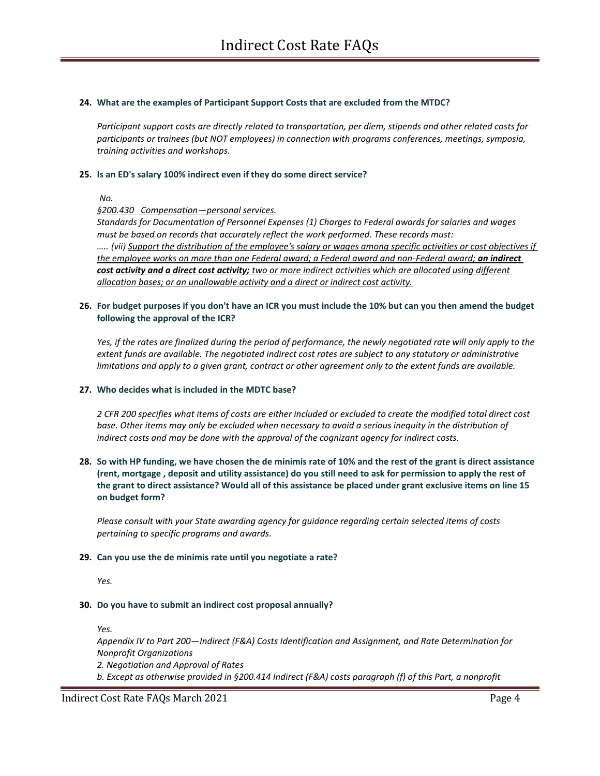#### **24. What are the examples of Participant Support Costs that are excluded from the MTDC?**

*Participant support costs are directly related to transportation, per diem, stipends and other related costs for participants or trainees (but NOT employees) in connection with programs conferences, meetings, symposia, training activities and workshops.*

#### **25. Is an ED's salary 100% indirect even if they do some direct service?**

*No.* 

## *§200.430 Compensation—personal services.*

*Standards for Documentation of Personnel Expenses (1) Charges to Federal awards for salaries and wages must be based on records that accurately reflect the work performed. These records must: ….. (vii) Support the distribution of the employee's salary or wages among specific activities or cost objectives if the employee works on more than one Federal award; a Federal award and non-Federal award; an indirect cost activity and a direct cost activity; two or more indirect activities which are allocated using different allocation bases; or an unallowable activity and a direct or indirect cost activity.*

#### **26. For budget purposes if you don't have an ICR you must include the 10% but can you then amend the budget following the approval of the ICR?**

Yes, if the rates are finalized during the period of performance, the newly negotiated rate will only apply to the *extent funds are available. The negotiated indirect cost rates are subject to any statutory or administrative limitations and apply to a given grant, contract or other agreement only to the extent funds are available.* 

#### **27. Who decides what is included in the MDTC base?**

*2 CFR 200 specifies what items of costs are either included or excluded to create the modified total direct cost base. Other items may only be excluded when necessary to avoid a serious inequity in the distribution of indirect costs and may be done with the approval of the cognizant agency for indirect costs.* 

# **28. So with HP funding, we have chosen the de minimis rate of 10% and the rest of the grant is direct assistance (rent, mortgage , deposit and utility assistance) do you still need to ask for permission to apply the rest of the grant to direct assistance? Would all of this assistance be placed under grant exclusive items on line 15 on budget form?**

*Please consult with your State awarding agency for guidance regarding certain selected items of costs pertaining to specific programs and awards.*

## **29. Can you use the de minimis rate until you negotiate a rate?**

*Yes.*

#### **30. Do you have to submit an indirect cost proposal annually?**

*Yes.*

*Appendix IV to Part 200—Indirect (F&A) Costs Identification and Assignment, and Rate Determination for Nonprofit Organizations*

*2. Negotiation and Approval of Rates*

*b. Except as otherwise provided in §200.414 Indirect (F&A) costs paragraph (f) of this Part, a nonprofit*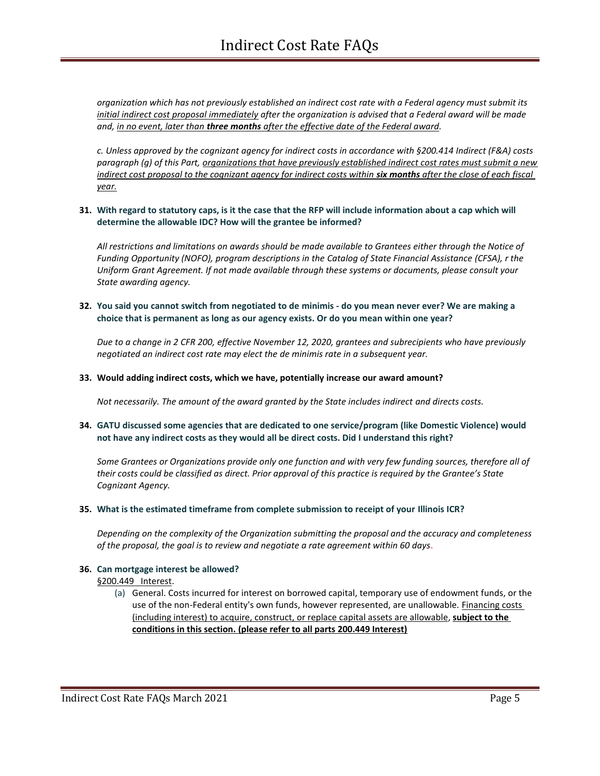*organization which has not previously established an indirect cost rate with a Federal agency must submit its initial indirect cost proposal immediately after the organization is advised that a Federal award will be made and, in no event, later than three months after the effective date of the Federal award.*

*c. Unless approved by the cognizant agency for indirect costs in accordance with §200.414 Indirect (F&A) costs paragraph (g) of this Part, organizations that have previously established indirect cost rates must submit a new indirect cost proposal to the cognizant agency for indirect costs within six months after the close of each fiscal year.*

## **31. With regard to statutory caps, is it the case that the RFP will include information about a cap which will determine the allowable IDC? How will the grantee be informed?**

*All restrictions and limitations on awards should be made available to Grantees either through the Notice of Funding Opportunity (NOFO), program descriptions in the Catalog of State Financial Assistance (CFSA), r the Uniform Grant Agreement. If not made available through these systems or documents, please consult your State awarding agency.*

## **32. You said you cannot switch from negotiated to de minimis - do you mean never ever? We are making a choice that is permanent as long as our agency exists. Or do you mean within one year?**

*Due to a change in 2 CFR 200, effective November 12, 2020, grantees and subrecipients who have previously negotiated an indirect cost rate may elect the de minimis rate in a subsequent year.*

## **33. Would adding indirect costs, which we have, potentially increase our award amount?**

*Not necessarily. The amount of the award granted by the State includes indirect and directs costs.* 

## **34. GATU discussed some agencies that are dedicated to one service/program (like Domestic Violence) would not have any indirect costs as they would all be direct costs. Did I understand this right?**

*Some Grantees or Organizations provide only one function and with very few funding sources, therefore all of their costs could be classified as direct. Prior approval of this practice is required by the Grantee's State Cognizant Agency.* 

## **35. What is the estimated timeframe from complete submission to receipt of your Illinois ICR?**

*Depending on the complexity of the Organization submitting the proposal and the accuracy and completeness of the proposal, the goal is to review and negotiate a rate agreement within 60 days*.

#### **36. Can mortgage interest be allowed?**

#### §200.449 Interest.

(a) General. Costs incurred for interest on borrowed capital, temporary use of endowment funds, or the use of the non-Federal entity's own funds, however represented, are unallowable. Financing costs (including interest) to acquire, construct, or replace capital assets are allowable, **subject to the conditions in this section. (please refer to all parts 200.449 Interest)**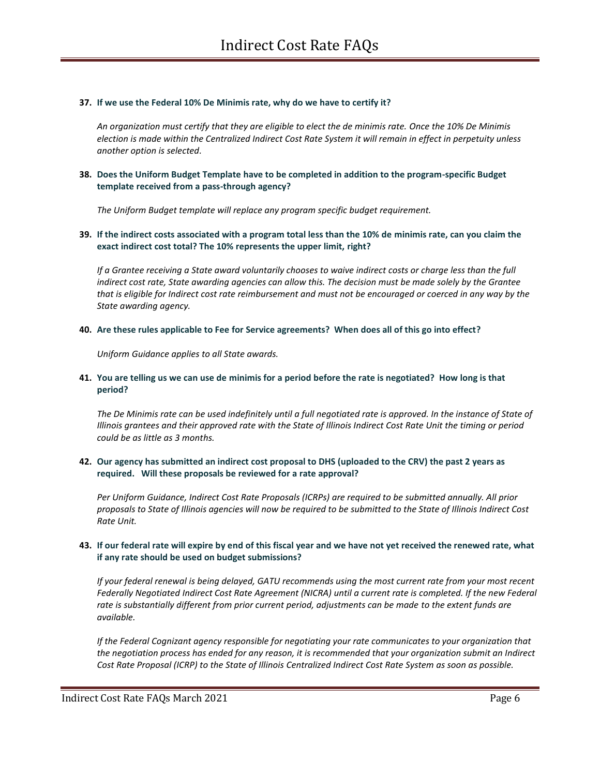#### **37. If we use the Federal 10% De Minimis rate, why do we have to certify it?**

*An organization must certify that they are eligible to elect the de minimis rate. Once the 10% De Minimis election is made within the Centralized Indirect Cost Rate System it will remain in effect in perpetuity unless another option is selected.*

## **38. Does the Uniform Budget Template have to be completed in addition to the program-specific Budget template received from a pass-through agency?**

*The Uniform Budget template will replace any program specific budget requirement.*

## **39. If the indirect costs associated with a program total less than the 10% de minimis rate, can you claim the exact indirect cost total? The 10% represents the upper limit, right?**

*If a Grantee receiving a State award voluntarily chooses to waive indirect costs or charge less than the full indirect cost rate, State awarding agencies can allow this. The decision must be made solely by the Grantee that is eligible for Indirect cost rate reimbursement and must not be encouraged or coerced in any way by the State awarding agency.*

#### **40. Are these rules applicable to Fee for Service agreements? When does all of this go into effect?**

*Uniform Guidance applies to all State awards.*

# **41. You are telling us we can use de minimis for a period before the rate is negotiated? How long is that period?**

The De Minimis rate can be used indefinitely until a full negotiated rate is approved. In the instance of State of *Illinois grantees and their approved rate with the State of Illinois Indirect Cost Rate Unit the timing or period could be as little as 3 months.*

# **42. Our agency has submitted an indirect cost proposal to DHS (uploaded to the CRV) the past 2 years as required. Will these proposals be reviewed for a rate approval?**

*Per Uniform Guidance, Indirect Cost Rate Proposals (ICRPs) are required to be submitted annually. All prior proposals to State of Illinois agencies will now be required to be submitted to the State of Illinois Indirect Cost Rate Unit.* 

# **43. If our federal rate will expire by end of this fiscal year and we have not yet received the renewed rate, what if any rate should be used on budget submissions?**

*If your federal renewal is being delayed, GATU recommends using the most current rate from your most recent*  Federally Negotiated Indirect Cost Rate Agreement (NICRA) until a current rate is completed. If the new Federal *rate is substantially different from prior current period, adjustments can be made to the extent funds are available.*

*If the Federal Cognizant agency responsible for negotiating your rate communicates to your organization that the negotiation process has ended for any reason, it is recommended that your organization submit an Indirect Cost Rate Proposal (ICRP) to the State of Illinois Centralized Indirect Cost Rate System as soon as possible.*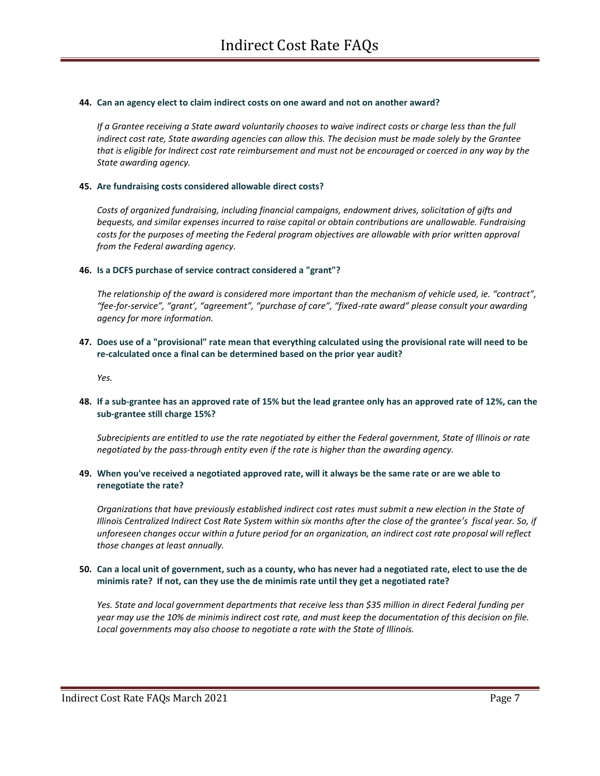#### **44. Can an agency elect to claim indirect costs on one award and not on another award?**

*If a Grantee receiving a State award voluntarily chooses to waive indirect costs or charge less than the full indirect cost rate, State awarding agencies can allow this. The decision must be made solely by the Grantee that is eligible for Indirect cost rate reimbursement and must not be encouraged or coerced in any way by the State awarding agency.*

#### **45. Are fundraising costs considered allowable direct costs?**

*Costs of organized fundraising, including financial campaigns, endowment drives, solicitation of gifts and bequests, and similar expenses incurred to raise capital or obtain contributions are unallowable. Fundraising costs for the purposes of meeting the Federal program objectives are allowable with prior written approval from the Federal awarding agency.*

#### **46. Is a DCFS purchase of service contract considered a "grant"?**

*The relationship of the award is considered more important than the mechanism of vehicle used, ie. "contract", "fee-for-service", "grant', "agreement", "purchase of care", "fixed-rate award" please consult your awarding agency for more information.*

## **47. Does use of a "provisional" rate mean that everything calculated using the provisional rate will need to be re-calculated once a final can be determined based on the prior year audit?**

*Yes.*

## **48. If a sub-grantee has an approved rate of 15% but the lead grantee only has an approved rate of 12%, can the sub-grantee still charge 15%?**

*Subrecipients are entitled to use the rate negotiated by either the Federal government, State of Illinois or rate negotiated by the pass-through entity even if the rate is higher than the awarding agency.* 

#### **49. When you've received a negotiated approved rate, will it always be the same rate or are we able to renegotiate the rate?**

*Organizations that have previously established indirect cost rates must submit a new election in the State of Illinois Centralized Indirect Cost Rate System within six months after the close of the grantee's fiscal year. So, if unforeseen changes occur within a future period for an organization, an indirect cost rate proposal will reflect those changes at least annually.* 

## **50. Can a local unit of government, such as a county, who has never had a negotiated rate, elect to use the de minimis rate? If not, can they use the de minimis rate until they get a negotiated rate?**

*Yes. State and local government departments that receive less than \$35 million in direct Federal funding per year may use the 10% de minimis indirect cost rate, and must keep the documentation of this decision on file. Local governments may also choose to negotiate a rate with the State of Illinois.*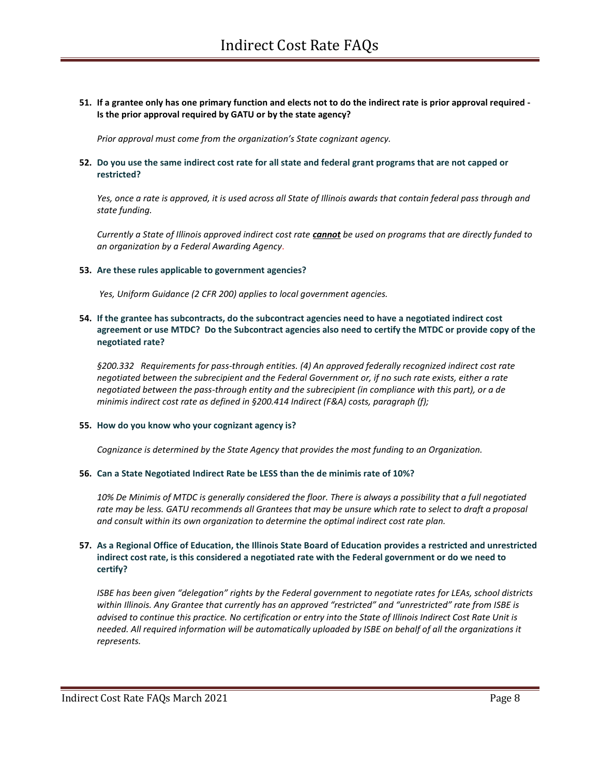## **51. If a grantee only has one primary function and elects not to do the indirect rate is prior approval required - Is the prior approval required by GATU or by the state agency?**

*Prior approval must come from the organization's State cognizant agency.*

## **52. Do you use the same indirect cost rate for all state and federal grant programs that are not capped or restricted?**

*Yes, once a rate is approved, it is used across all State of Illinois awards that contain federal pass through and state funding.*

*Currently a State of Illinois approved indirect cost rate cannot be used on programs that are directly funded to an organization by a Federal Awarding Agency*.

#### **53. Are these rules applicable to government agencies?**

*Yes, Uniform Guidance (2 CFR 200) applies to local government agencies.*

## **54. If the grantee has subcontracts, do the subcontract agencies need to have a negotiated indirect cost agreement or use MTDC? Do the Subcontract agencies also need to certify the MTDC or provide copy of the negotiated rate?**

*§200.332 Requirements for pass-through entities. (4) An approved federally recognized indirect cost rate negotiated between the subrecipient and the Federal Government or, if no such rate exists, either a rate negotiated between the pass-through entity and the subrecipient (in compliance with this part), or a de minimis indirect cost rate as defined in §200.414 Indirect (F&A) costs, paragraph (f);*

## **55. How do you know who your cognizant agency is?**

*Cognizance is determined by the State Agency that provides the most funding to an Organization.* 

#### **56. Can a State Negotiated Indirect Rate be LESS than the de minimis rate of 10%?**

*10% De Minimis of MTDC is generally considered the floor. There is always a possibility that a full negotiated rate may be less. GATU recommends all Grantees that may be unsure which rate to select to draft a proposal and consult within its own organization to determine the optimal indirect cost rate plan.*

# **57. As a Regional Office of Education, the Illinois State Board of Education provides a restricted and unrestricted indirect cost rate, is this considered a negotiated rate with the Federal government or do we need to certify?**

*ISBE has been given "delegation" rights by the Federal government to negotiate rates for LEAs, school districts within Illinois. Any Grantee that currently has an approved "restricted" and "unrestricted" rate from ISBE is advised to continue this practice. No certification or entry into the State of Illinois Indirect Cost Rate Unit is needed. All required information will be automatically uploaded by ISBE on behalf of all the organizations it represents.*